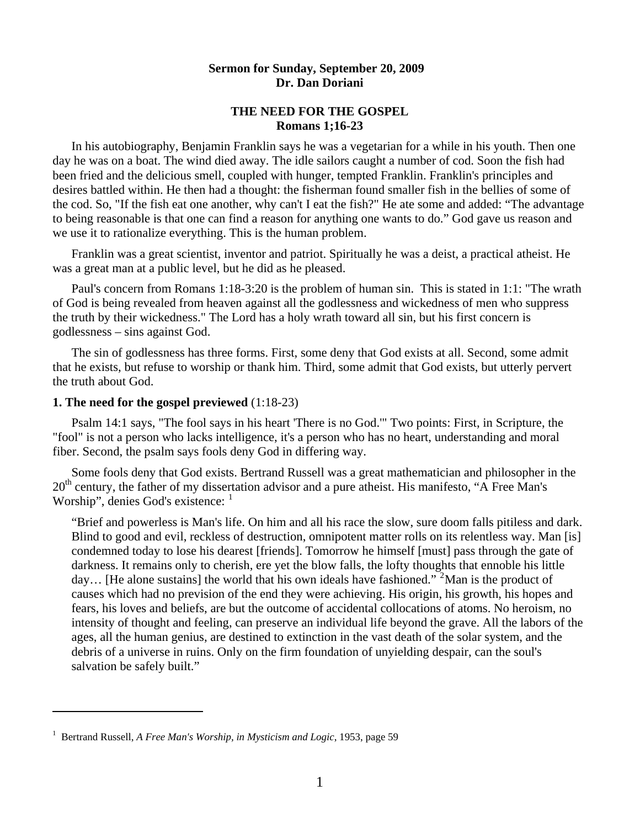## **Sermon for Sunday, September 20, 2009 Dr. Dan Doriani**

## **THE NEED FOR THE GOSPEL Romans 1;16-23**

 In his autobiography, Benjamin Franklin says he was a vegetarian for a while in his youth. Then one day he was on a boat. The wind died away. The idle sailors caught a number of cod. Soon the fish had been fried and the delicious smell, coupled with hunger, tempted Franklin. Franklin's principles and desires battled within. He then had a thought: the fisherman found smaller fish in the bellies of some of the cod. So, "If the fish eat one another, why can't I eat the fish?" He ate some and added: "The advantage to being reasonable is that one can find a reason for anything one wants to do." God gave us reason and we use it to rationalize everything. This is the human problem.

 Franklin was a great scientist, inventor and patriot. Spiritually he was a deist, a practical atheist. He was a great man at a public level, but he did as he pleased.

 Paul's concern from Romans 1:18-3:20 is the problem of human sin. This is stated in 1:1: "The wrath of God is being revealed from heaven against all the godlessness and wickedness of men who suppress the truth by their wickedness." The Lord has a holy wrath toward all sin, but his first concern is godlessness – sins against God.

 The sin of godlessness has three forms. First, some deny that God exists at all. Second, some admit that he exists, but refuse to worship or thank him. Third, some admit that God exists, but utterly pervert the truth about God.

### **1. The need for the gospel previewed** (1:18-23)

Psalm 14:1 says, "The fool says in his heart 'There is no God.'" Two points: First, in Scripture, the "fool" is not a person who lacks intelligence, it's a person who has no heart, understanding and moral fiber. Second, the psalm says fools deny God in differing way.

 Some fools deny that God exists. Bertrand Russell was a great mathematician and philosopher in the 20<sup>th</sup> century, the father of my dissertation advisor and a pure atheist. His manifesto, "A Free Man's Worship", denies God's existence:  $<sup>1</sup>$  $<sup>1</sup>$  $<sup>1</sup>$ </sup>

"Brief and powerless is Man's life. On him and all his race the slow, sure doom falls pitiless and dark. Blind to good and evil, reckless of destruction, omnipotent matter rolls on its relentless way. Man [is] condemned today to lose his dearest [friends]. Tomorrow he himself [must] pass through the gate of darkness. It remains only to cherish, ere yet the blow falls, the lofty thoughts that ennoble his little day... [He alone sustains] the world that his own ideals have fashioned."<sup>[2](#page-0-1)</sup> Man is the product of causes which had no prevision of the end they were achieving. His origin, his growth, his hopes and fears, his loves and beliefs, are but the outcome of accidental collocations of atoms. No heroism, no intensity of thought and feeling, can preserve an individual life beyond the grave. All the labors of the ages, all the human genius, are destined to extinction in the vast death of the solar system, and the debris of a universe in ruins. Only on the firm foundation of unyielding despair, can the soul's salvation be safely built."

 $\overline{a}$ 

<span id="page-0-1"></span><span id="page-0-0"></span><sup>1</sup> Bertrand Russell, *A Free Man's Worship, in Mysticism and Logic*, 1953, page 59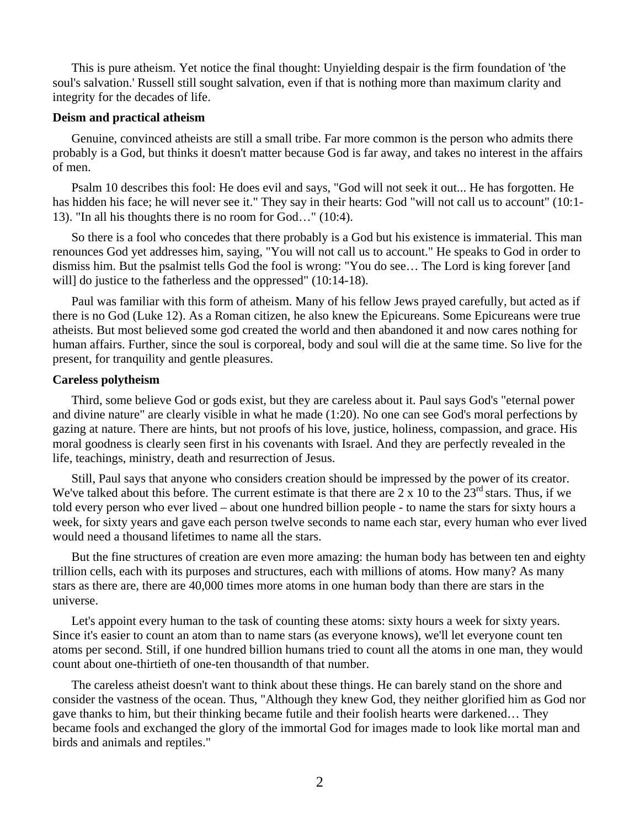This is pure atheism. Yet notice the final thought: Unyielding despair is the firm foundation of 'the soul's salvation.' Russell still sought salvation, even if that is nothing more than maximum clarity and integrity for the decades of life.

#### **Deism and practical atheism**

 Genuine, convinced atheists are still a small tribe. Far more common is the person who admits there probably is a God, but thinks it doesn't matter because God is far away, and takes no interest in the affairs of men.

 Psalm 10 describes this fool: He does evil and says, "God will not seek it out... He has forgotten. He has hidden his face; he will never see it." They say in their hearts: God "will not call us to account" (10:1- 13). "In all his thoughts there is no room for God…" (10:4).

 So there is a fool who concedes that there probably is a God but his existence is immaterial. This man renounces God yet addresses him, saying, "You will not call us to account." He speaks to God in order to dismiss him. But the psalmist tells God the fool is wrong: "You do see… The Lord is king forever [and will] do justice to the fatherless and the oppressed" (10:14-18).

 Paul was familiar with this form of atheism. Many of his fellow Jews prayed carefully, but acted as if there is no God (Luke 12). As a Roman citizen, he also knew the Epicureans. Some Epicureans were true atheists. But most believed some god created the world and then abandoned it and now cares nothing for human affairs. Further, since the soul is corporeal, body and soul will die at the same time. So live for the present, for tranquility and gentle pleasures.

#### **Careless polytheism**

 Third, some believe God or gods exist, but they are careless about it. Paul says God's "eternal power and divine nature" are clearly visible in what he made (1:20). No one can see God's moral perfections by gazing at nature. There are hints, but not proofs of his love, justice, holiness, compassion, and grace. His moral goodness is clearly seen first in his covenants with Israel. And they are perfectly revealed in the life, teachings, ministry, death and resurrection of Jesus.

 Still, Paul says that anyone who considers creation should be impressed by the power of its creator. We've talked about this before. The current estimate is that there are  $2 \times 10$  to the  $23<sup>rd</sup>$  stars. Thus, if we told every person who ever lived – about one hundred billion people - to name the stars for sixty hours a week, for sixty years and gave each person twelve seconds to name each star, every human who ever lived would need a thousand lifetimes to name all the stars.

 But the fine structures of creation are even more amazing: the human body has between ten and eighty trillion cells, each with its purposes and structures, each with millions of atoms. How many? As many stars as there are, there are 40,000 times more atoms in one human body than there are stars in the universe.

 Let's appoint every human to the task of counting these atoms: sixty hours a week for sixty years. Since it's easier to count an atom than to name stars (as everyone knows), we'll let everyone count ten atoms per second. Still, if one hundred billion humans tried to count all the atoms in one man, they would count about one-thirtieth of one-ten thousandth of that number.

 The careless atheist doesn't want to think about these things. He can barely stand on the shore and consider the vastness of the ocean. Thus, "Although they knew God, they neither glorified him as God nor gave thanks to him, but their thinking became futile and their foolish hearts were darkened… They became fools and exchanged the glory of the immortal God for images made to look like mortal man and birds and animals and reptiles."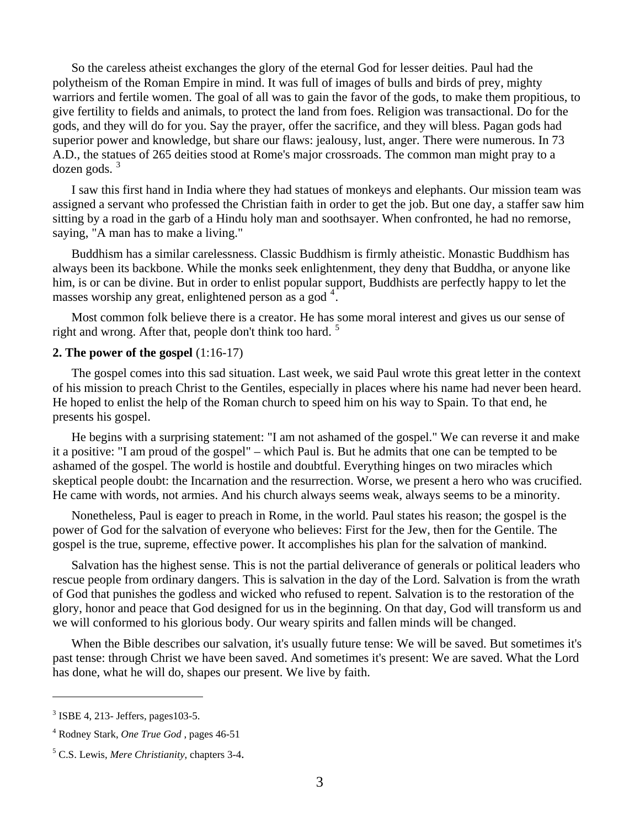So the careless atheist exchanges the glory of the eternal God for lesser deities. Paul had the polytheism of the Roman Empire in mind. It was full of images of bulls and birds of prey, mighty warriors and fertile women. The goal of all was to gain the favor of the gods, to make them propitious, to give fertility to fields and animals, to protect the land from foes. Religion was transactional. Do for the gods, and they will do for you. Say the prayer, offer the sacrifice, and they will bless. Pagan gods had superior power and knowledge, but share our flaws: jealousy, lust, anger. There were numerous. In 73 A.D., the statues of 265 deities stood at Rome's major crossroads. The common man might pray to a  $dozen$  gods.  $3$ 

 I saw this first hand in India where they had statues of monkeys and elephants. Our mission team was assigned a servant who professed the Christian faith in order to get the job. But one day, a staffer saw him sitting by a road in the garb of a Hindu holy man and soothsayer. When confronted, he had no remorse, saying, "A man has to make a living."

 Buddhism has a similar carelessness. Classic Buddhism is firmly atheistic. Monastic Buddhism has always been its backbone. While the monks seek enlightenment, they deny that Buddha, or anyone like him, is or can be divine. But in order to enlist popular support, Buddhists are perfectly happy to let the masses worship any great, enlightened person as a god<sup>[4](#page-2-1)</sup>.

 Most common folk believe there is a creator. He has some moral interest and gives us our sense of right and wrong. After that, people don't think too hard.<sup>[5](#page-2-2)</sup>

### **2. The power of the gospel** (1:16-17)

 The gospel comes into this sad situation. Last week, we said Paul wrote this great letter in the context of his mission to preach Christ to the Gentiles, especially in places where his name had never been heard. He hoped to enlist the help of the Roman church to speed him on his way to Spain. To that end, he presents his gospel.

 He begins with a surprising statement: "I am not ashamed of the gospel." We can reverse it and make it a positive: "I am proud of the gospel" – which Paul is. But he admits that one can be tempted to be ashamed of the gospel. The world is hostile and doubtful. Everything hinges on two miracles which skeptical people doubt: the Incarnation and the resurrection. Worse, we present a hero who was crucified. He came with words, not armies. And his church always seems weak, always seems to be a minority.

 Nonetheless, Paul is eager to preach in Rome, in the world. Paul states his reason; the gospel is the power of God for the salvation of everyone who believes: First for the Jew, then for the Gentile. The gospel is the true, supreme, effective power. It accomplishes his plan for the salvation of mankind.

 Salvation has the highest sense. This is not the partial deliverance of generals or political leaders who rescue people from ordinary dangers. This is salvation in the day of the Lord. Salvation is from the wrath of God that punishes the godless and wicked who refused to repent. Salvation is to the restoration of the glory, honor and peace that God designed for us in the beginning. On that day, God will transform us and we will conformed to his glorious body. Our weary spirits and fallen minds will be changed.

 When the Bible describes our salvation, it's usually future tense: We will be saved. But sometimes it's past tense: through Christ we have been saved. And sometimes it's present: We are saved. What the Lord has done, what he will do, shapes our present. We live by faith.

 $\overline{a}$ 

<span id="page-2-0"></span><sup>3</sup> ISBE 4, 213- Jeffers, pages103-5.

<span id="page-2-1"></span><sup>4</sup> Rodney Stark, *One True God* , pages 46-51

<span id="page-2-2"></span><sup>5</sup> C.S. Lewis, *Mere Christianity*, chapters 3-4.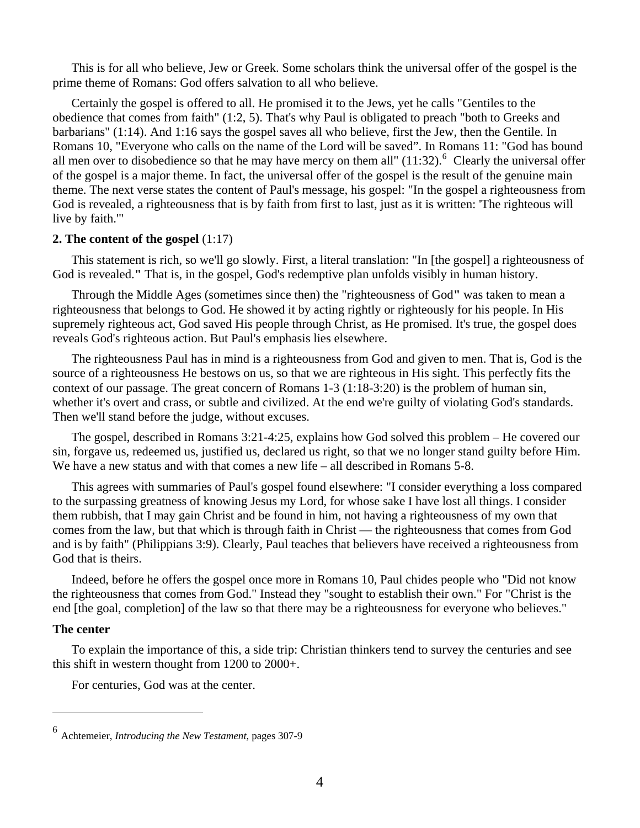This is for all who believe, Jew or Greek. Some scholars think the universal offer of the gospel is the prime theme of Romans: God offers salvation to all who believe.

 Certainly the gospel is offered to all. He promised it to the Jews, yet he calls "Gentiles to the obedience that comes from faith" (1:2, 5). That's why Paul is obligated to preach "both to Greeks and barbarians" (1:14). And 1:16 says the gospel saves all who believe, first the Jew, then the Gentile. In Romans 10, "Everyone who calls on the name of the Lord will be saved". In Romans 11: "God has bound all men over to disobedience so that he may have mercy on them all"  $(11:32)$ .<sup>[6](#page-3-0)</sup> Clearly the universal offer of the gospel is a major theme. In fact, the universal offer of the gospel is the result of the genuine main theme. The next verse states the content of Paul's message, his gospel: "In the gospel a righteousness from God is revealed, a righteousness that is by faith from first to last, just as it is written: 'The righteous will live by faith.'"

### **2. The content of the gospel** (1:17)

This statement is rich, so we'll go slowly. First, a literal translation: "In [the gospel] a righteousness of God is revealed.**"** That is, in the gospel, God's redemptive plan unfolds visibly in human history.

 Through the Middle Ages (sometimes since then) the "righteousness of God**"** was taken to mean a righteousness that belongs to God. He showed it by acting rightly or righteously for his people. In His supremely righteous act, God saved His people through Christ, as He promised. It's true, the gospel does reveals God's righteous action. But Paul's emphasis lies elsewhere.

 The righteousness Paul has in mind is a righteousness from God and given to men. That is, God is the source of a righteousness He bestows on us, so that we are righteous in His sight. This perfectly fits the context of our passage. The great concern of Romans  $1-3$  ( $1:18-3:20$ ) is the problem of human sin, whether it's overt and crass, or subtle and civilized. At the end we're guilty of violating God's standards. Then we'll stand before the judge, without excuses.

 The gospel, described in Romans 3:21-4:25, explains how God solved this problem – He covered our sin, forgave us, redeemed us, justified us, declared us right, so that we no longer stand guilty before Him. We have a new status and with that comes a new life – all described in Romans 5-8.

 This agrees with summaries of Paul's gospel found elsewhere: "I consider everything a loss compared to the surpassing greatness of knowing Jesus my Lord, for whose sake I have lost all things. I consider them rubbish, that I may gain Christ and be found in him, not having a righteousness of my own that comes from the law, but that which is through faith in Christ — the righteousness that comes from God and is by faith" (Philippians 3:9). Clearly, Paul teaches that believers have received a righteousness from God that is theirs.

 Indeed, before he offers the gospel once more in Romans 10, Paul chides people who "Did not know the righteousness that comes from God." Instead they "sought to establish their own." For "Christ is the end [the goal, completion] of the law so that there may be a righteousness for everyone who believes."

#### **The center**

 $\overline{a}$ 

To explain the importance of this, a side trip: Christian thinkers tend to survey the centuries and see this shift in western thought from 1200 to 2000+.

For centuries, God was at the center.

<span id="page-3-0"></span><sup>6</sup> Achtemeier, *Introducing the New Testament*, pages 307-9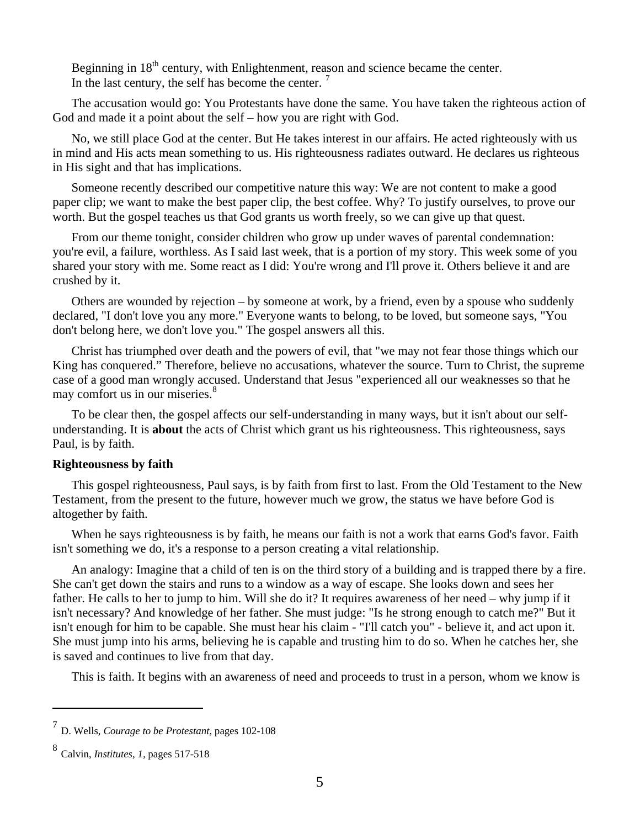Beginning in 18<sup>th</sup> century, with Enlightenment, reason and science became the center. In the last century, the self has become the center.<sup>[7](#page-4-0)</sup>

 The accusation would go: You Protestants have done the same. You have taken the righteous action of God and made it a point about the self – how you are right with God.

 No, we still place God at the center. But He takes interest in our affairs. He acted righteously with us in mind and His acts mean something to us. His righteousness radiates outward. He declares us righteous in His sight and that has implications.

 Someone recently described our competitive nature this way: We are not content to make a good paper clip; we want to make the best paper clip, the best coffee. Why? To justify ourselves, to prove our worth. But the gospel teaches us that God grants us worth freely, so we can give up that quest.

 From our theme tonight, consider children who grow up under waves of parental condemnation: you're evil, a failure, worthless. As I said last week, that is a portion of my story. This week some of you shared your story with me. Some react as I did: You're wrong and I'll prove it. Others believe it and are crushed by it.

 Others are wounded by rejection – by someone at work, by a friend, even by a spouse who suddenly declared, "I don't love you any more." Everyone wants to belong, to be loved, but someone says, "You don't belong here, we don't love you." The gospel answers all this.

 Christ has triumphed over death and the powers of evil, that "we may not fear those things which our King has conquered." Therefore, believe no accusations, whatever the source. Turn to Christ, the supreme case of a good man wrongly accused. Understand that Jesus "experienced all our weaknesses so that he may comfort us in our miseries.<sup>[8](#page-4-1)</sup>

 To be clear then, the gospel affects our self-understanding in many ways, but it isn't about our selfunderstanding. It is **about** the acts of Christ which grant us his righteousness. This righteousness, says Paul, is by faith.

#### **Righteousness by faith**

 This gospel righteousness, Paul says, is by faith from first to last. From the Old Testament to the New Testament, from the present to the future, however much we grow, the status we have before God is altogether by faith.

 When he says righteousness is by faith, he means our faith is not a work that earns God's favor. Faith isn't something we do, it's a response to a person creating a vital relationship.

 An analogy: Imagine that a child of ten is on the third story of a building and is trapped there by a fire. She can't get down the stairs and runs to a window as a way of escape. She looks down and sees her father. He calls to her to jump to him. Will she do it? It requires awareness of her need – why jump if it isn't necessary? And knowledge of her father. She must judge: "Is he strong enough to catch me?" But it isn't enough for him to be capable. She must hear his claim - "I'll catch you" - believe it, and act upon it. She must jump into his arms, believing he is capable and trusting him to do so. When he catches her, she is saved and continues to live from that day.

This is faith. It begins with an awareness of need and proceeds to trust in a person, whom we know is

l

<span id="page-4-0"></span><sup>7</sup> D. Wells, *Courage to be Protestant*, pages 102-108

<span id="page-4-1"></span><sup>8</sup> Calvin, *Institutes, 1,* pages 517-518